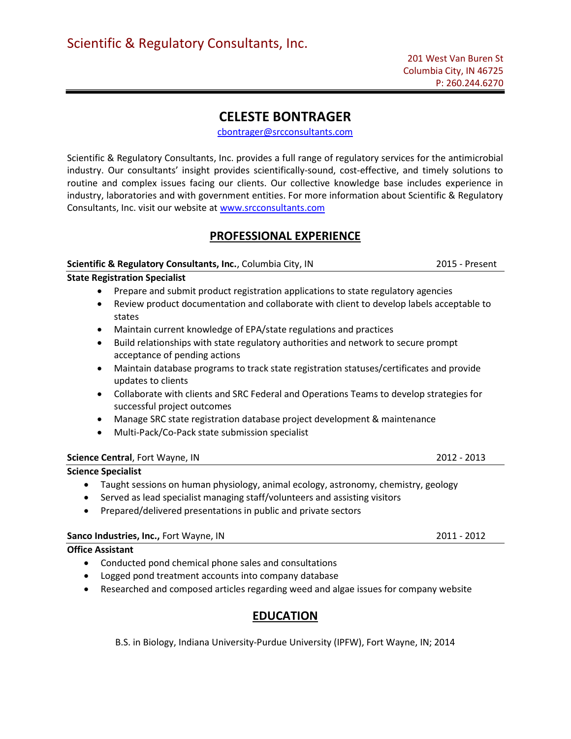# CELESTE BONTRAGER

cbontrager@srcconsultants.com

Scientific & Regulatory Consultants, Inc. provides a full range of regulatory services for the antimicrobial industry. Our consultants' insight provides scientifically-sound, cost-effective, and timely solutions to routine and complex issues facing our clients. Our collective knowledge base includes experience in industry, laboratories and with government entities. For more information about Scientific & Regulatory Consultants, Inc. visit our website at www.srcconsultants.com

## PROFESSIONAL EXPERIENCE

## Scientific & Regulatory Consultants, Inc., Columbia City, IN 2015 - Present

### State Registration Specialist

- Prepare and submit product registration applications to state regulatory agencies
- Review product documentation and collaborate with client to develop labels acceptable to states
- Maintain current knowledge of EPA/state regulations and practices
- Build relationships with state regulatory authorities and network to secure prompt acceptance of pending actions
- Maintain database programs to track state registration statuses/certificates and provide updates to clients
- Collaborate with clients and SRC Federal and Operations Teams to develop strategies for successful project outcomes
- Manage SRC state registration database project development & maintenance
- Multi-Pack/Co-Pack state submission specialist

#### Science Central, Fort Wayne, IN 2012 - 2013

#### Science Specialist

- Taught sessions on human physiology, animal ecology, astronomy, chemistry, geology
- Served as lead specialist managing staff/volunteers and assisting visitors
- Prepared/delivered presentations in public and private sectors

#### Sanco Industries, Inc., Fort Wayne, IN 2011 - 2012

#### Office Assistant

- Conducted pond chemical phone sales and consultations
- Logged pond treatment accounts into company database
- Researched and composed articles regarding weed and algae issues for company website

## EDUCATION

B.S. in Biology, Indiana University-Purdue University (IPFW), Fort Wayne, IN; 2014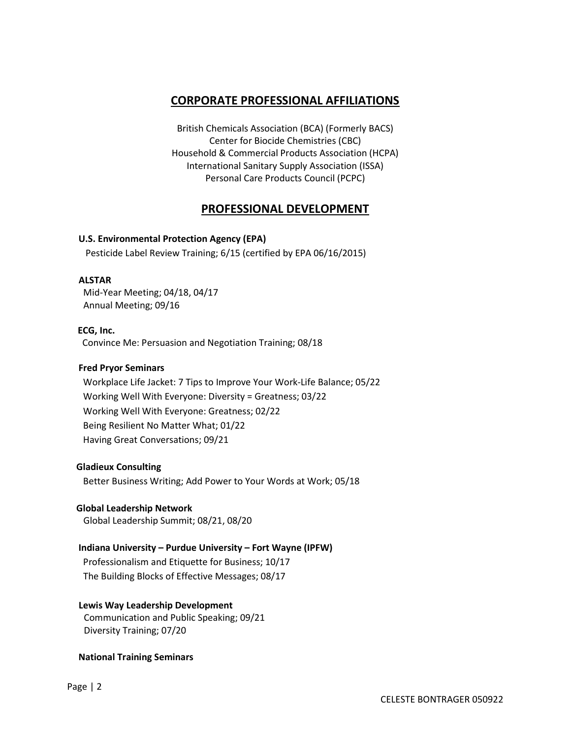## CORPORATE PROFESSIONAL AFFILIATIONS

British Chemicals Association (BCA) (Formerly BACS) Center for Biocide Chemistries (CBC) Household & Commercial Products Association (HCPA) International Sanitary Supply Association (ISSA) Personal Care Products Council (PCPC)

## PROFESSIONAL DEVELOPMENT

## U.S. Environmental Protection Agency (EPA)

Pesticide Label Review Training; 6/15 (certified by EPA 06/16/2015)

#### ALSTAR

 Mid-Year Meeting; 04/18, 04/17 Annual Meeting; 09/16

### ECG, Inc.

Convince Me: Persuasion and Negotiation Training; 08/18

### Fred Pryor Seminars

 Workplace Life Jacket: 7 Tips to Improve Your Work-Life Balance; 05/22 Working Well With Everyone: Diversity = Greatness; 03/22 Working Well With Everyone: Greatness; 02/22 Being Resilient No Matter What; 01/22 Having Great Conversations; 09/21

## Gladieux Consulting

Better Business Writing; Add Power to Your Words at Work; 05/18

## Global Leadership Network

Global Leadership Summit; 08/21, 08/20

## Indiana University – Purdue University – Fort Wayne (IPFW)

 Professionalism and Etiquette for Business; 10/17 The Building Blocks of Effective Messages; 08/17

## Lewis Way Leadership Development

Communication and Public Speaking; 09/21 Diversity Training; 07/20

## National Training Seminars